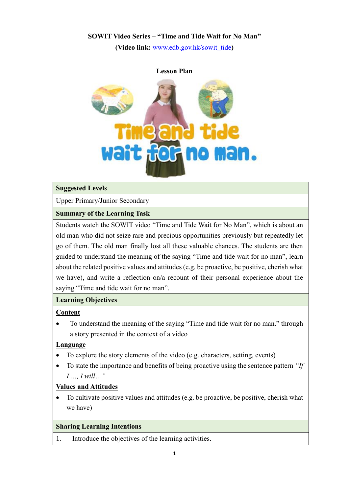# **SOWIT Video Series – "Time and Tide Wait for No Man"**

**(Video link:** [www.edb.gov.hk/sowit\\_tide](http://www.edb.gov.hk/sowit_tide)**)**



### **Suggested Levels**

Upper Primary/Junior Secondary

# **Summary of the Learning Task**

Students watch the SOWIT video "Time and Tide Wait for No Man", which is about an old man who did not seize rare and precious opportunities previously but repeatedly let go of them. The old man finally lost all these valuable chances. The students are then guided to understand the meaning of the saying "Time and tide wait for no man", learn about the related positive values and attitudes (e.g. be proactive, be positive, cherish what we have), and write a reflection on/a recount of their personal experience about the saying "Time and tide wait for no man".

# **Learning Objectives**

# **Content**

 To understand the meaning of the saying "Time and tide wait for no man." through a story presented in the context of a video

# **Language**

- To explore the story elements of the video (e.g. characters, setting, events)
- To state the importance and benefits of being proactive using the sentence pattern *"If I …, I will…"*

# **Values and Attitudes**

 To cultivate positive values and attitudes (e.g. be proactive, be positive, cherish what we have)

# **Sharing Learning Intentions**

1. Introduce the objectives of the learning activities.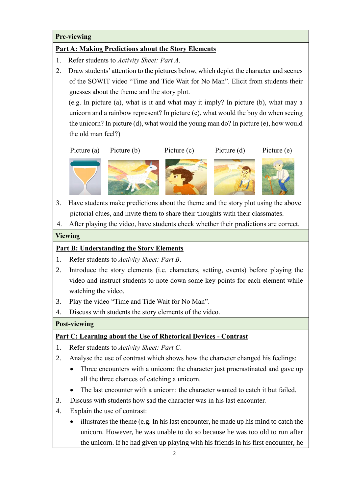### **Pre-viewing**

#### **Part A: Making Predictions about the Story Elements**

- 1. Refer students to *Activity Sheet: Part A*.
- 2. Draw students' attention to the pictures below, which depict the character and scenes of the SOWIT video "Time and Tide Wait for No Man". Elicit from students their guesses about the theme and the story plot.

(e.g. In picture (a), what is it and what may it imply? In picture (b), what may a unicorn and a rainbow represent? In picture (c), what would the boy do when seeing the unicorn? In picture (d), what would the young man do? In picture (e), how would the old man feel?)



3. Have students make predictions about the theme and the story plot using the above pictorial clues, and invite them to share their thoughts with their classmates.

1. 4. After playing the video, have students check whether their predictions are correct.

#### **Viewing**

#### **Part B: Understanding the Story Elements**

- 1. Refer students to *Activity Sheet: Part B*.
- 2. Introduce the story elements (i.e. characters, setting, events) before playing the video and instruct students to note down some key points for each element while watching the video.
- 3. Play the video "Time and Tide Wait for No Man".
- 4. Discuss with students the story elements of the video.

### **Post-viewing**

### **Part C: Learning about the Use of Rhetorical Devices - Contrast**

- 1. Refer students to *Activity Sheet: Part C*.
- 2. Analyse the use of contrast which shows how the character changed his feelings:
	- Three encounters with a unicorn: the character just procrastinated and gave up all the three chances of catching a unicorn.
	- The last encounter with a unicorn: the character wanted to catch it but failed.
- 3. Discuss with students how sad the character was in his last encounter.
- 4. Explain the use of contrast:
	- illustrates the theme (e.g. In his last encounter, he made up his mind to catch the unicorn. However, he was unable to do so because he was too old to run after the unicorn. If he had given up playing with his friends in his first encounter, he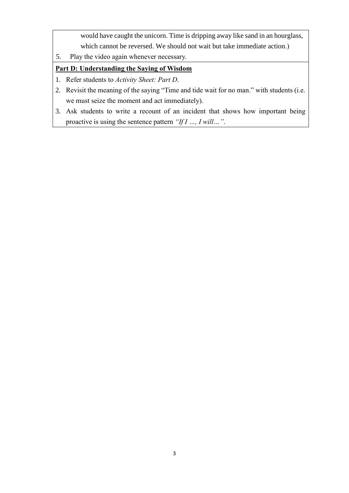would have caught the unicorn. Time is dripping away like sand in an hourglass, which cannot be reversed. We should not wait but take immediate action.)

5. Play the video again whenever necessary.

# **Part D: Understanding the Saying of Wisdom**

- 1. Refer students to *Activity Sheet: Part D*.
- 2. Revisit the meaning of the saying "Time and tide wait for no man." with students (i.e. we must seize the moment and act immediately).
- 3. Ask students to write a recount of an incident that shows how important being proactive is using the sentence pattern *"If I …, I will…"*.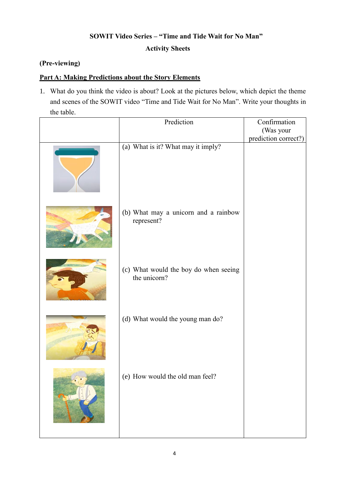# **SOWIT Video Series – "Time and Tide Wait for No Man" Activity Sheets**

# **(Pre-viewing)**

### **Part A: Making Predictions about the Story Elements**

1. What do you think the video is about? Look at the pictures below, which depict the theme and scenes of the SOWIT video "Time and Tide Wait for No Man". Write your thoughts in the table.

| Prediction                                            | Confirmation                      |
|-------------------------------------------------------|-----------------------------------|
|                                                       | (Was your<br>prediction correct?) |
| (a) What is it? What may it imply?                    |                                   |
| (b) What may a unicorn and a rainbow<br>represent?    |                                   |
| (c) What would the boy do when seeing<br>the unicorn? |                                   |
| (d) What would the young man do?                      |                                   |
| (e) How would the old man feel?                       |                                   |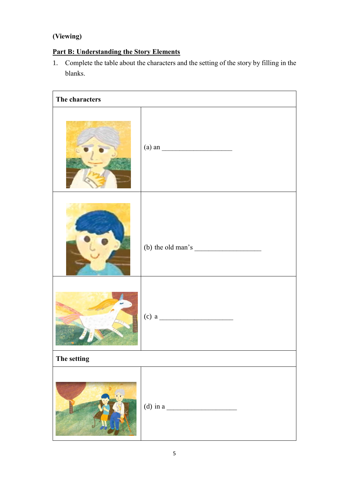# **(Viewing)**

# **Part B: Understanding the Story Elements**

1. Complete the table about the characters and the setting of the story by filling in the blanks.

| The characters |                                                                                                            |  |  |  |
|----------------|------------------------------------------------------------------------------------------------------------|--|--|--|
|                | $\left( \text{a} \right)$ an $\qquad \qquad$                                                               |  |  |  |
|                | (b) the old man's $\frac{1}{\sqrt{1-\frac{1}{2}}\sqrt{1-\frac{1}{2}}\left(\frac{1}{2}-\frac{1}{2}\right)}$ |  |  |  |
|                |                                                                                                            |  |  |  |
| The setting    |                                                                                                            |  |  |  |
|                | (d) in a                                                                                                   |  |  |  |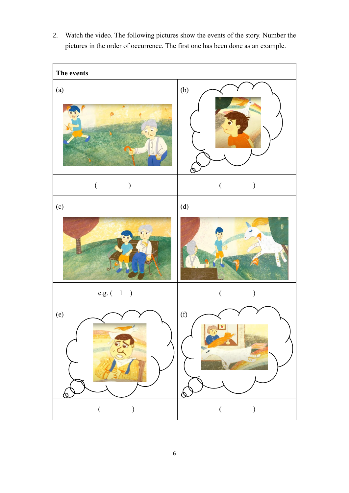2. Watch the video. The following pictures show the events of the story. Number the pictures in the order of occurrence. The first one has been done as an example.

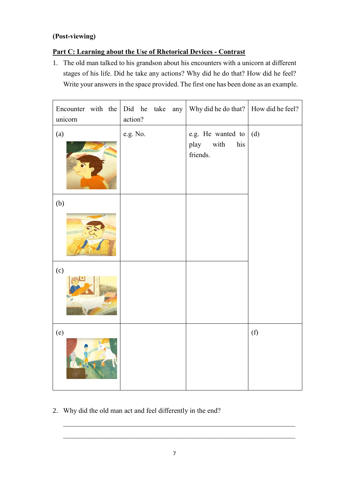# **(Post-viewing)**

# **Part C: Learning about the Use of Rhetorical Devices - Contrast**

1. The old man talked to his grandson about his encounters with a unicorn at different stages of his life. Did he take any actions? Why did he do that? How did he feel? Write your answers in the space provided. The first one has been done as an example.

| Encounter with the<br>unicorn | Did he take any<br>action? | Why did he do that?                                             | How did he feel? |
|-------------------------------|----------------------------|-----------------------------------------------------------------|------------------|
| (a)                           | e.g. No.                   | e.g. He wanted to $\mid$ (d)<br>play<br>with<br>his<br>friends. |                  |
| (b)                           |                            |                                                                 |                  |
| (c)                           |                            |                                                                 |                  |
| (e)                           |                            |                                                                 | (f)              |

2. Why did the old man act and feel differently in the end?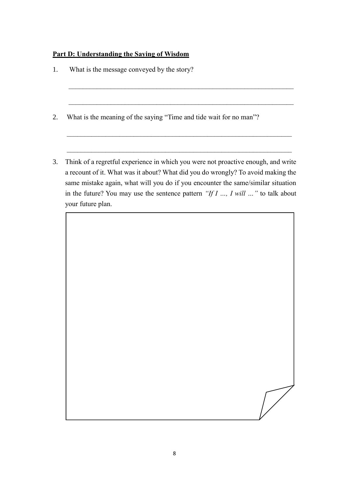### **Part D: Understanding the Saying of Wisdom**

- 1. What is the message conveyed by the story?
- 2. What is the meaning of the saying "Time and tide wait for no man"?
- 3. Think of a regretful experience in which you were not proactive enough, and write a recount of it. What was it about? What did you do wrongly? To avoid making the same mistake again, what will you do if you encounter the same/similar situation in the future? You may use the sentence pattern *"If I …, I will …"* to talk about your future plan.

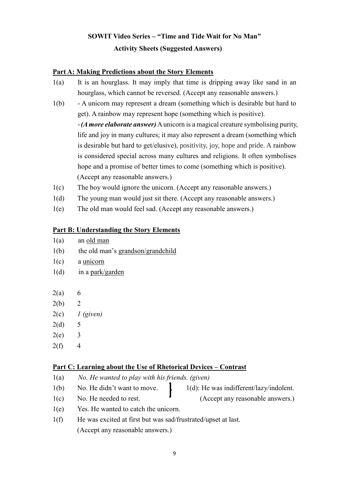# **SOWIT Video Series – "Time and Tide Wait for No Man" Activity Sheets (Suggested Answers)**

### **Part A: Making Predictions about the Story Elements**

- 1(a) It is an hourglass. It may imply that time is dripping away like sand in an hourglass, which cannot be reversed. (Accept any reasonable answers.)
- 1(b) A unicorn may represent a dream (something which is desirable but hard to get). A rainbow may represent hope (something which is positive). -*(A more elaborate answer)* A unicorn is a magical creature symbolising purity, life and joy in many cultures; it may also represent a dream (something which is desirable but hard to get/elusive), positivity, joy, hope and pride. A rainbow is considered special across many cultures and religions. It often symbolises hope and a promise of better times to come (something which is positive). (Accept any reasonable answers.)
- 1(c) The boy would ignore the unicorn. (Accept any reasonable answers.)
- 1(d) The young man would just sit there. (Accept any reasonable answers.)
- 1(e) The old man would feel sad. (Accept any reasonable answers.)

### **Part B: Understanding the Story Elements**

- 1(a) an old man
- 1(b) the old man's grandson/grandchild
- 1(c) a unicorn
- 1(d) in a park/garden
- $2(a)$  6
- $2(b)$  2
- 2(c) *1 (given)*
- $2(d) 5$
- $2(e)$  3
- $2(f)$  4

### **Part C: Learning about the Use of Rhetorical Devices – Contrast**

- 1(a) *No. He wanted to play with his friends. (given)*
- $1(b)$  No. He didn't want to move.  $1(d)$ : He was indifferent/lazy/indolent.
	-
- 1(c) No. He needed to rest. (Accept any reasonable answers.)
- 
- 1(e) Yes. He wanted to catch the unicorn.
- 1(f) He was excited at first but was sad/frustrated/upset at last. (Accept any reasonable answers.)